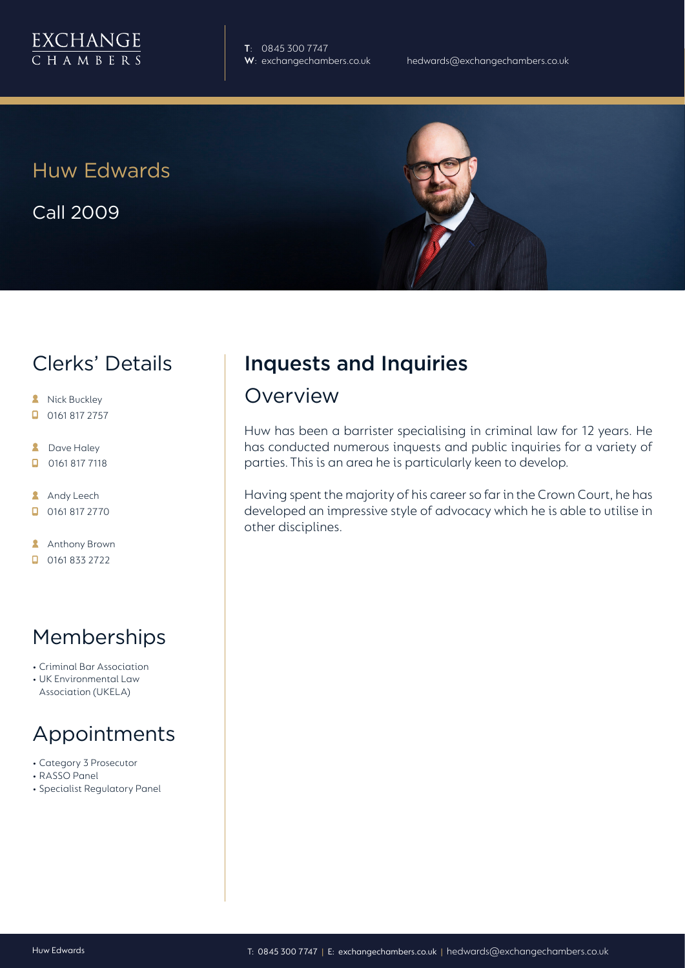

**T**: 0845 300 7747

Huw Edwards

Call 2009

#### Clerks' Details

- **A** Nick Buckley
- $\Box$  0161 817 2757
- **2** Dave Haley
- $\Box$ 0161 817 7118
- **Andy Leech**
- $\Box$  0161 817 2770

**Anthony Brown** 

0161 833 2722

#### Memberships

- Criminal Bar Association
- UK Environmental Law Association (UKELA)

# Appointments

- Category 3 Prosecutor
- RASSO Panel
- Specialist Regulatory Panel

## Inquests and Inquiries

#### Overview

Huw has been a barrister specialising in criminal law for 12 years. He has conducted numerous inquests and public inquiries for a variety of parties. This is an area he is particularly keen to develop.

Having spent the majority of his career so far in the Crown Court, he has developed an impressive style of advocacy which he is able to utilise in other disciplines.